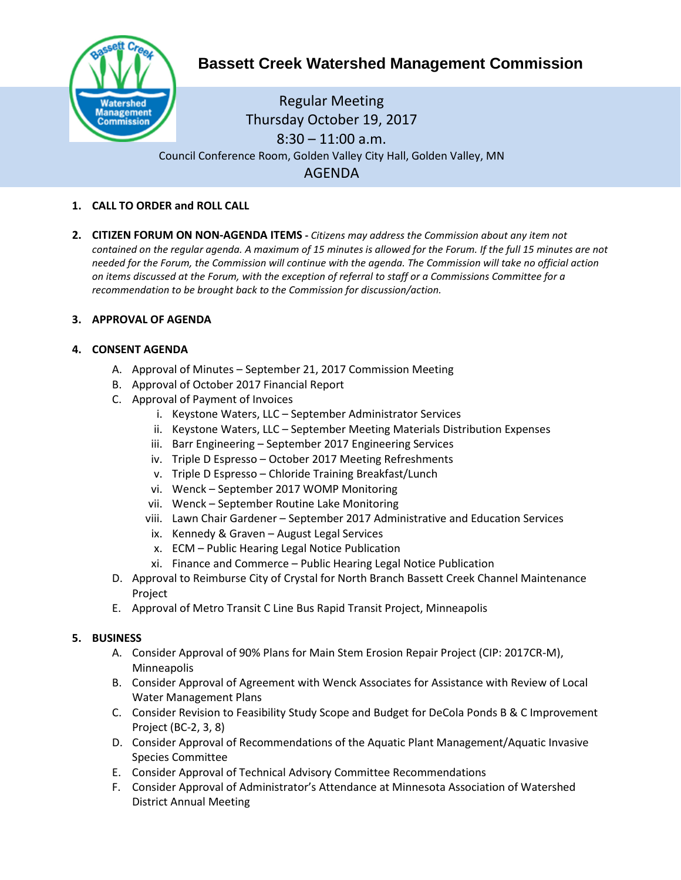

# **Bassett Creek Watershed Management Commission**

Regular Meeting Thursday October 19, 2017 8:30 – 11:00 a.m. Council Conference Room, Golden Valley City Hall, Golden Valley, MN AGENDA

- **1. CALL TO ORDER and ROLL CALL**
- **2. CITIZEN FORUM ON NON-AGENDA ITEMS -** *Citizens may address the Commission about any item not contained on the regular agenda. A maximum of 15 minutes is allowed for the Forum. If the full 15 minutes are not needed for the Forum, the Commission will continue with the agenda. The Commission will take no official action on items discussed at the Forum, with the exception of referral to staff or a Commissions Committee for a recommendation to be brought back to the Commission for discussion/action.*

## **3. APPROVAL OF AGENDA**

### **4. CONSENT AGENDA**

- A. Approval of Minutes September 21, 2017 Commission Meeting
- B. Approval of October 2017 Financial Report
- C. Approval of Payment of Invoices
	- i. Keystone Waters, LLC September Administrator Services
	- ii. Keystone Waters, LLC September Meeting Materials Distribution Expenses
	- iii. Barr Engineering September 2017 Engineering Services
	- iv. Triple D Espresso October 2017 Meeting Refreshments
	- v. Triple D Espresso Chloride Training Breakfast/Lunch
	- vi. Wenck September 2017 WOMP Monitoring
	- vii. Wenck September Routine Lake Monitoring
	- viii. Lawn Chair Gardener September 2017 Administrative and Education Services
	- ix. Kennedy & Graven August Legal Services
	- x. ECM Public Hearing Legal Notice Publication
	- xi. Finance and Commerce Public Hearing Legal Notice Publication
- D. Approval to Reimburse City of Crystal for North Branch Bassett Creek Channel Maintenance Project
- E. Approval of Metro Transit C Line Bus Rapid Transit Project, Minneapolis

#### **5. BUSINESS**

- A. Consider Approval of 90% Plans for Main Stem Erosion Repair Project (CIP: 2017CR-M), Minneapolis
- B. Consider Approval of Agreement with Wenck Associates for Assistance with Review of Local Water Management Plans
- C. Consider Revision to Feasibility Study Scope and Budget for DeCola Ponds B & C Improvement Project (BC-2, 3, 8)
- D. Consider Approval of Recommendations of the Aquatic Plant Management/Aquatic Invasive Species Committee
- E. Consider Approval of Technical Advisory Committee Recommendations
- F. Consider Approval of Administrator's Attendance at Minnesota Association of Watershed District Annual Meeting